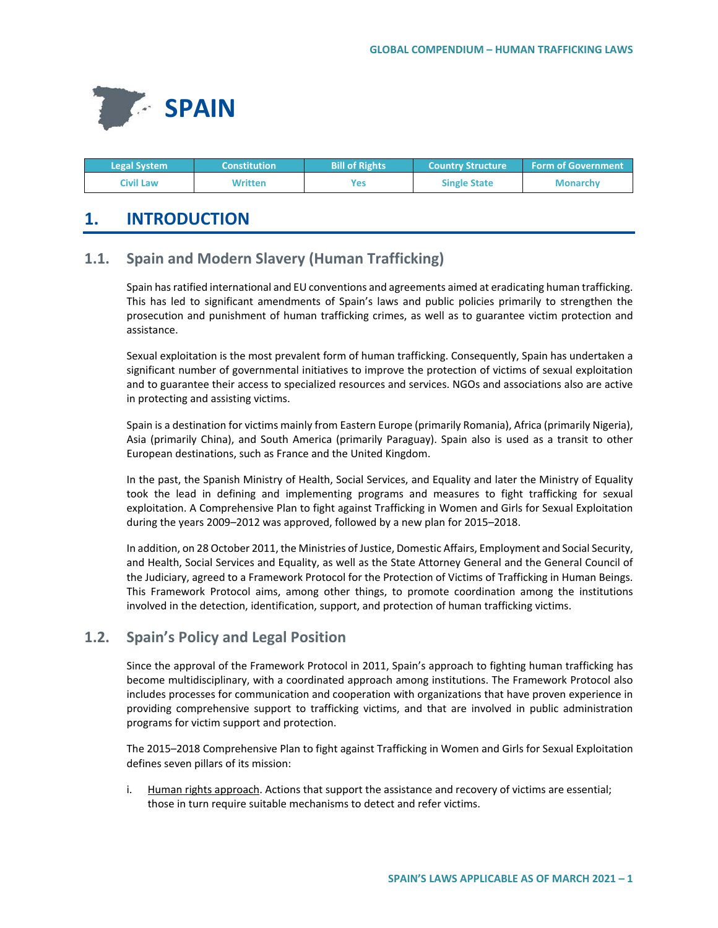

| <b>Legal System</b> | <b>Constitution</b> | <b>Bill of Rights</b> | ا Country Structure | <b>Form of Government</b> |
|---------------------|---------------------|-----------------------|---------------------|---------------------------|
| Civil Law           | Written             | Yes                   | <b>Single State</b> | <b>Monarchy</b>           |

# **1. INTRODUCTION**

# **1.1. Spain and Modern Slavery (Human Trafficking)**

Spain has ratified international and EU conventions and agreements aimed at eradicating human trafficking. This has led to significant amendments of Spain's laws and public policies primarily to strengthen the prosecution and punishment of human trafficking crimes, as well as to guarantee victim protection and assistance.

Sexual exploitation is the most prevalent form of human trafficking. Consequently, Spain has undertaken a significant number of governmental initiatives to improve the protection of victims of sexual exploitation and to guarantee their access to specialized resources and services. NGOs and associations also are active in protecting and assisting victims.

Spain is a destination for victims mainly from Eastern Europe (primarily Romania), Africa (primarily Nigeria), Asia (primarily China), and South America (primarily Paraguay). Spain also is used as a transit to other European destinations, such as France and the United Kingdom.

In the past, the Spanish Ministry of Health, Social Services, and Equality and later the Ministry of Equality took the lead in defining and implementing programs and measures to fight trafficking for sexual exploitation. A Comprehensive Plan to fight against Trafficking in Women and Girls for Sexual Exploitation during the years 2009–2012 was approved, followed by a new plan for 2015–2018.

In addition, on 28 October 2011, the Ministries of Justice, Domestic Affairs, Employment and Social Security, and Health, Social Services and Equality, as well as the State Attorney General and the General Council of the Judiciary, agreed to a Framework Protocol for the Protection of Victims of Trafficking in Human Beings. This Framework Protocol aims, among other things, to promote coordination among the institutions involved in the detection, identification, support, and protection of human trafficking victims.

# **1.2. Spain's Policy and Legal Position**

Since the approval of the Framework Protocol in 2011, Spain's approach to fighting human trafficking has become multidisciplinary, with a coordinated approach among institutions. The Framework Protocol also includes processes for communication and cooperation with organizations that have proven experience in providing comprehensive support to trafficking victims, and that are involved in public administration programs for victim support and protection.

The 2015–2018 Comprehensive Plan to fight against Trafficking in Women and Girls for Sexual Exploitation defines seven pillars of its mission:

i. Human rights approach. Actions that support the assistance and recovery of victims are essential; those in turn require suitable mechanisms to detect and refer victims.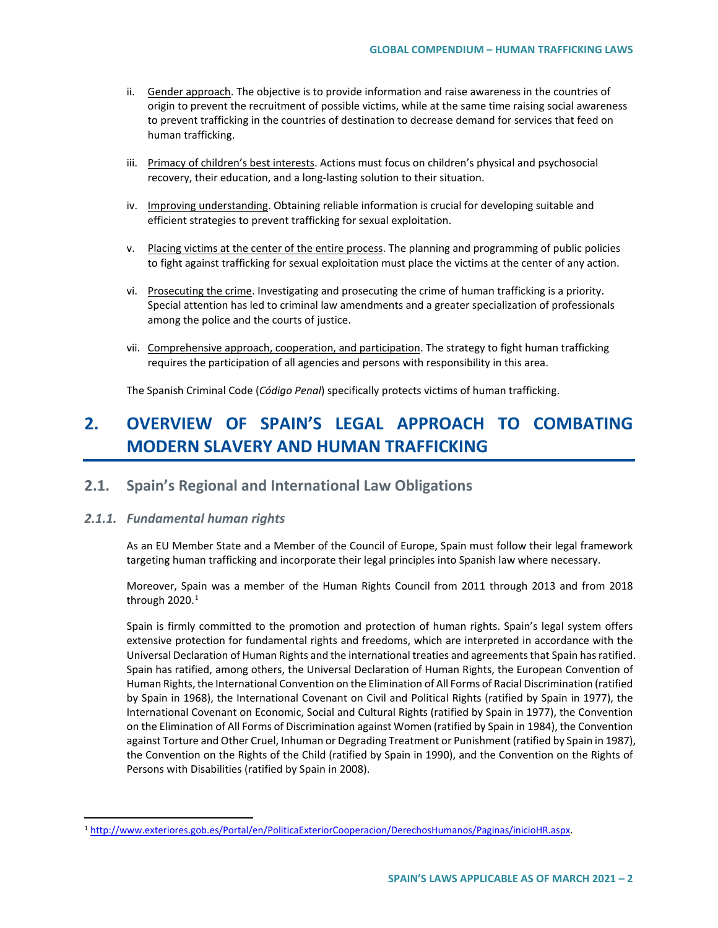- ii. Gender approach. The objective is to provide information and raise awareness in the countries of origin to prevent the recruitment of possible victims, while at the same time raising social awareness to prevent trafficking in the countries of destination to decrease demand for services that feed on human trafficking.
- iii. Primacy of children's best interests. Actions must focus on children's physical and psychosocial recovery, their education, and a long-lasting solution to their situation.
- iv. Improving understanding. Obtaining reliable information is crucial for developing suitable and efficient strategies to prevent trafficking for sexual exploitation.
- v. Placing victims at the center of the entire process. The planning and programming of public policies to fight against trafficking for sexual exploitation must place the victims at the center of any action.
- vi. Prosecuting the crime. Investigating and prosecuting the crime of human trafficking is a priority. Special attention has led to criminal law amendments and a greater specialization of professionals among the police and the courts of justice.
- vii. Comprehensive approach, cooperation, and participation. The strategy to fight human trafficking requires the participation of all agencies and persons with responsibility in this area.

The Spanish Criminal Code (*Código Penal*) specifically protects victims of human trafficking.

# **2. OVERVIEW OF SPAIN'S LEGAL APPROACH TO COMBATING MODERN SLAVERY AND HUMAN TRAFFICKING**

### **2.1. Spain's Regional and International Law Obligations**

### *2.1.1. Fundamental human rights*

As an EU Member State and a Member of the Council of Europe, Spain must follow their legal framework targeting human trafficking and incorporate their legal principles into Spanish law where necessary.

Moreover, Spain was a member of the Human Rights Council from 2011 through 2013 and from 2018 through  $2020.<sup>1</sup>$  $2020.<sup>1</sup>$  $2020.<sup>1</sup>$ 

Spain is firmly committed to the promotion and protection of human rights. Spain's legal system offers extensive protection for fundamental rights and freedoms, which are interpreted in accordance with the Universal Declaration of Human Rights and the international treaties and agreements that Spain has ratified. Spain has ratified, among others, the Universal Declaration of Human Rights, the European Convention of Human Rights, the International Convention on the Elimination of All Forms of Racial Discrimination (ratified by Spain in 1968), the International Covenant on Civil and Political Rights (ratified by Spain in 1977), the International Covenant on Economic, Social and Cultural Rights (ratified by Spain in 1977), the Convention on the Elimination of All Forms of Discrimination against Women (ratified by Spain in 1984), the Convention against Torture and Other Cruel, Inhuman or Degrading Treatment or Punishment (ratified by Spain in 1987), the Convention on the Rights of the Child (ratified by Spain in 1990), and the Convention on the Rights of Persons with Disabilities (ratified by Spain in 2008).

<span id="page-1-0"></span> <sup>1</sup> [http://www.exteriores.gob.es/Portal/en/PoliticaExteriorCooperacion/DerechosHumanos/Paginas/inicioHR.aspx.](http://www.exteriores.gob.es/Portal/en/PoliticaExteriorCooperacion/DerechosHumanos/Paginas/inicioHR.aspx)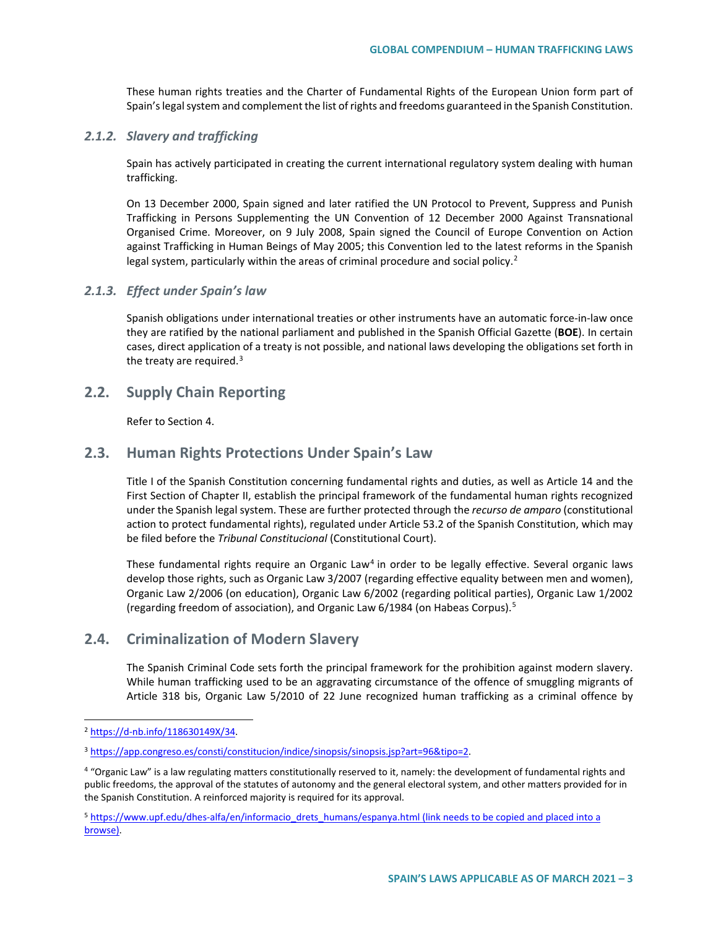These human rights treaties and the Charter of Fundamental Rights of the European Union form part of Spain's legal system and complement the list of rights and freedoms guaranteed in the Spanish Constitution.

### *2.1.2. Slavery and trafficking*

Spain has actively participated in creating the current international regulatory system dealing with human trafficking.

On 13 December 2000, Spain signed and later ratified the UN Protocol to Prevent, Suppress and Punish Trafficking in Persons Supplementing the UN Convention of 12 December 2000 Against Transnational Organised Crime. Moreover, on 9 July 2008, Spain signed the Council of Europe Convention on Action against Trafficking in Human Beings of May 2005; this Convention led to the latest reforms in the Spanish legal system, particularly within the areas of criminal procedure and social policy.<sup>[2](#page-2-0)</sup>

#### *2.1.3. Effect under Spain's law*

Spanish obligations under international treaties or other instruments have an automatic force-in-law once they are ratified by the national parliament and published in the Spanish Official Gazette (**BOE**). In certain cases, direct application of a treaty is not possible, and national laws developing the obligations set forth in the treaty are required. $3$ 

## **2.2. Supply Chain Reporting**

Refer to Section 4.

### **2.3. Human Rights Protections Under Spain's Law**

Title I of the Spanish Constitution concerning fundamental rights and duties, as well as Article 14 and the First Section of Chapter II, establish the principal framework of the fundamental human rights recognized under the Spanish legal system. These are further protected through the *recurso de amparo* (constitutional action to protect fundamental rights), regulated under Article 53.2 of the Spanish Constitution, which may be filed before the *Tribunal Constitucional* (Constitutional Court).

These fundamental rights require an Organic Law<sup>[4](#page-2-2)</sup> in order to be legally effective. Several organic laws develop those rights, such as Organic Law 3/2007 (regarding effective equality between men and women), Organic Law 2/2006 (on education), Organic Law 6/2002 (regarding political parties), Organic Law 1/2002 (regarding freedom of association), and Organic Law 6/1984 (on Habeas Corpus).[5](#page-2-3)

## **2.4. Criminalization of Modern Slavery**

The Spanish Criminal Code sets forth the principal framework for the prohibition against modern slavery. While human trafficking used to be an aggravating circumstance of the offence of smuggling migrants of Article 318 bis, Organic Law 5/2010 of 22 June recognized human trafficking as a criminal offence by

<span id="page-2-0"></span> <sup>2</sup> [https://d-nb.info/118630149X/34.](https://d-nb.info/118630149X/34)

<span id="page-2-1"></span><sup>3</sup> [https://app.congreso.es/consti/constitucion/indice/sinopsis/sinopsis.jsp?art=96&tipo=2.](https://app.congreso.es/consti/constitucion/indice/sinopsis/sinopsis.jsp?art=96&tipo=2)

<span id="page-2-2"></span><sup>4</sup> "Organic Law" is a law regulating matters constitutionally reserved to it, namely: the development of fundamental rights and public freedoms, the approval of the statutes of autonomy and the general electoral system, and other matters provided for in the Spanish Constitution. A reinforced majority is required for its approval.

<span id="page-2-3"></span><sup>&</sup>lt;sup>5</sup> [https://www.upf.edu/dhes-alfa/en/informacio\\_drets\\_humans/espanya.html](https://www.upf.edu/dhes-alfa/en/informacio_drets_humans/espanya.html) (link needs to be copied and placed into a browse).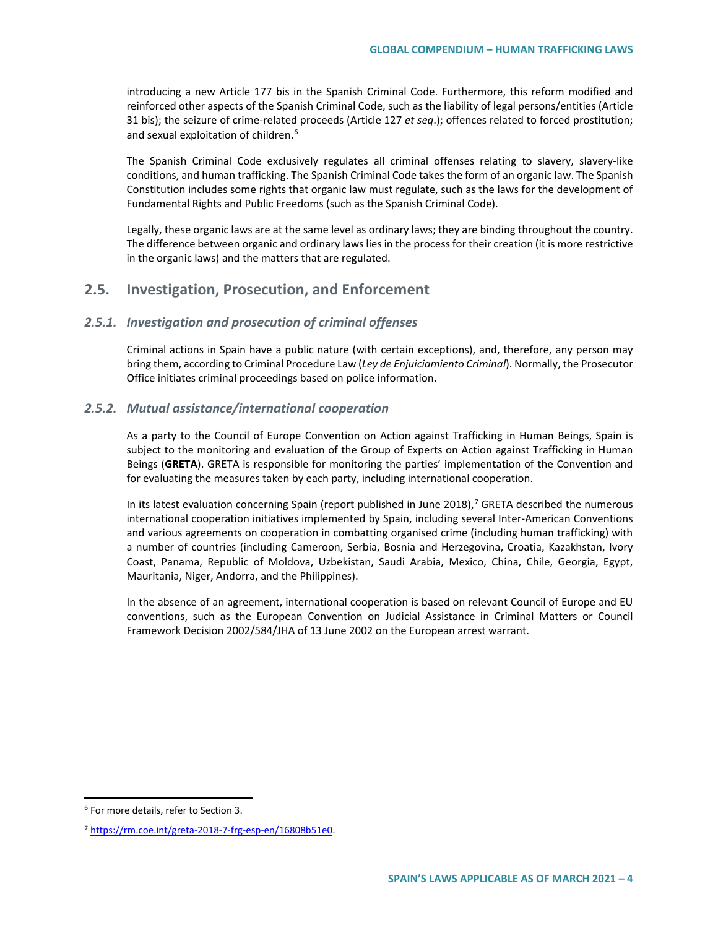introducing a new Article 177 bis in the Spanish Criminal Code. Furthermore, this reform modified and reinforced other aspects of the Spanish Criminal Code, such as the liability of legal persons/entities (Article 31 bis); the seizure of crime-related proceeds (Article 127 *et seq*.); offences related to forced prostitution; and sexual exploitation of children.<sup>[6](#page-3-0)</sup>

The Spanish Criminal Code exclusively regulates all criminal offenses relating to slavery, slavery-like conditions, and human trafficking. The Spanish Criminal Code takes the form of an organic law. The Spanish Constitution includes some rights that organic law must regulate, such as the laws for the development of Fundamental Rights and Public Freedoms (such as the Spanish Criminal Code).

Legally, these organic laws are at the same level as ordinary laws; they are binding throughout the country. The difference between organic and ordinary laws lies in the process for their creation (it is more restrictive in the organic laws) and the matters that are regulated.

# **2.5. Investigation, Prosecution, and Enforcement**

### *2.5.1. Investigation and prosecution of criminal offenses*

Criminal actions in Spain have a public nature (with certain exceptions), and, therefore, any person may bring them, according to Criminal Procedure Law (*Ley de Enjuiciamiento Criminal*). Normally, the Prosecutor Office initiates criminal proceedings based on police information.

### *2.5.2. Mutual assistance/international cooperation*

As a party to the Council of Europe Convention on Action against Trafficking in Human Beings, Spain is subject to the monitoring and evaluation of the Group of Experts on Action against Trafficking in Human Beings (**GRETA**). GRETA is responsible for monitoring the parties' implementation of the Convention and for evaluating the measures taken by each party, including international cooperation.

In its latest evaluation concerning Spain (report published in June 2018),<sup>[7](#page-3-1)</sup> GRETA described the numerous international cooperation initiatives implemented by Spain, including several Inter-American Conventions and various agreements on cooperation in combatting organised crime (including human trafficking) with a number of countries (including Cameroon, Serbia, Bosnia and Herzegovina, Croatia, Kazakhstan, Ivory Coast, Panama, Republic of Moldova, Uzbekistan, Saudi Arabia, Mexico, China, Chile, Georgia, Egypt, Mauritania, Niger, Andorra, and the Philippines).

In the absence of an agreement, international cooperation is based on relevant Council of Europe and EU conventions, such as the European Convention on Judicial Assistance in Criminal Matters or Council Framework Decision 2002/584/JHA of 13 June 2002 on the European arrest warrant.

<span id="page-3-0"></span> <sup>6</sup> For more details, refer to Section 3.

<span id="page-3-1"></span><sup>7</sup> [https://rm.coe.int/greta-2018-7-frg-esp-en/16808b51e0.](https://rm.coe.int/greta-2018-7-frg-esp-en/16808b51e0)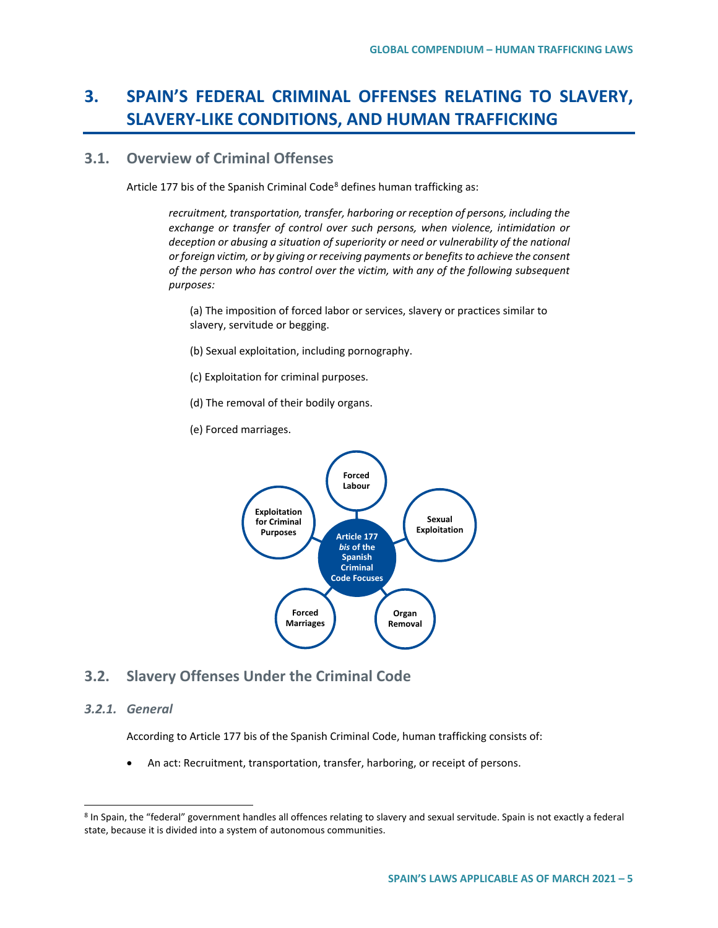# **3. SPAIN'S FEDERAL CRIMINAL OFFENSES RELATING TO SLAVERY, SLAVERY-LIKE CONDITIONS, AND HUMAN TRAFFICKING**

## **3.1. Overview of Criminal Offenses**

Article 177 bis of the Spanish Criminal Code<sup>[8](#page-4-0)</sup> defines human trafficking as:

*recruitment, transportation, transfer, harboring or reception of persons, including the exchange or transfer of control over such persons, when violence, intimidation or deception or abusing a situation of superiority or need or vulnerability of the national or foreign victim, or by giving or receiving payments or benefits to achieve the consent of the person who has control over the victim, with any of the following subsequent purposes:*

(a) The imposition of forced labor or services, slavery or practices similar to slavery, servitude or begging.

- (b) Sexual exploitation, including pornography.
- (c) Exploitation for criminal purposes.
- (d) The removal of their bodily organs.
- (e) Forced marriages.



# **3.2. Slavery Offenses Under the Criminal Code**

### *3.2.1. General*

According to Article 177 bis of the Spanish Criminal Code, human trafficking consists of:

• An act: Recruitment, transportation, transfer, harboring, or receipt of persons.

<span id="page-4-0"></span><sup>8</sup> In Spain, the "federal" government handles all offences relating to slavery and sexual servitude. Spain is not exactly a federal state, because it is divided into a system of autonomous communities.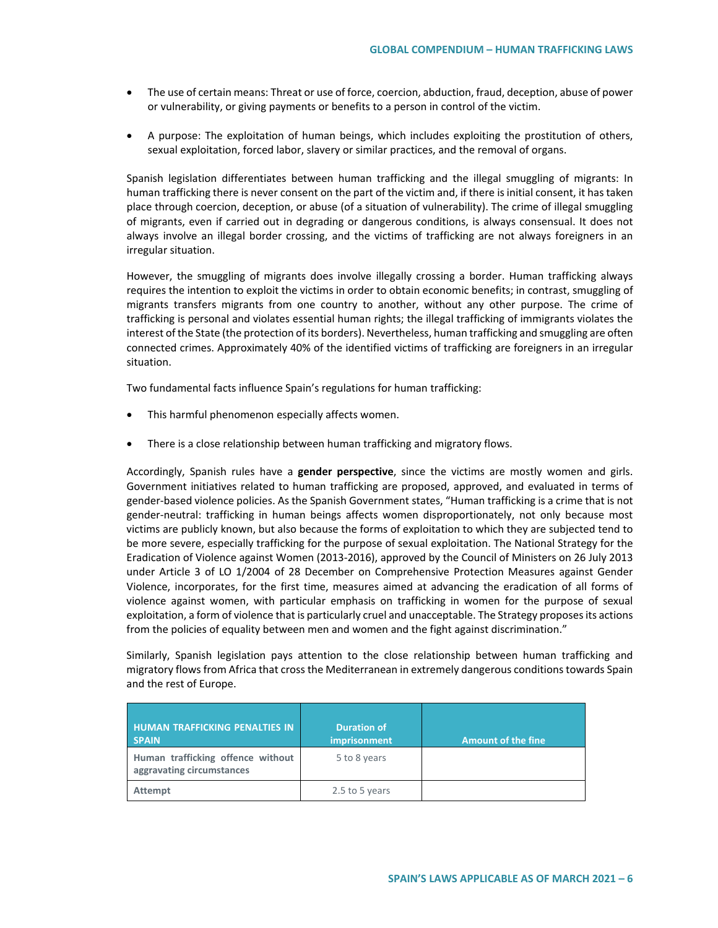- The use of certain means: Threat or use of force, coercion, abduction, fraud, deception, abuse of power or vulnerability, or giving payments or benefits to a person in control of the victim.
- A purpose: The exploitation of human beings, which includes exploiting the prostitution of others, sexual exploitation, forced labor, slavery or similar practices, and the removal of organs.

Spanish legislation differentiates between human trafficking and the illegal smuggling of migrants: In human trafficking there is never consent on the part of the victim and, if there is initial consent, it has taken place through coercion, deception, or abuse (of a situation of vulnerability). The crime of illegal smuggling of migrants, even if carried out in degrading or dangerous conditions, is always consensual. It does not always involve an illegal border crossing, and the victims of trafficking are not always foreigners in an irregular situation.

However, the smuggling of migrants does involve illegally crossing a border. Human trafficking always requires the intention to exploit the victims in order to obtain economic benefits; in contrast, smuggling of migrants transfers migrants from one country to another, without any other purpose. The crime of trafficking is personal and violates essential human rights; the illegal trafficking of immigrants violates the interest of the State (the protection of its borders). Nevertheless, human trafficking and smuggling are often connected crimes. Approximately 40% of the identified victims of trafficking are foreigners in an irregular situation.

Two fundamental facts influence Spain's regulations for human trafficking:

- This harmful phenomenon especially affects women.
- There is a close relationship between human trafficking and migratory flows.

Accordingly, Spanish rules have a **gender perspective**, since the victims are mostly women and girls. Government initiatives related to human trafficking are proposed, approved, and evaluated in terms of gender-based violence policies. As the Spanish Government states, "Human trafficking is a crime that is not gender-neutral: trafficking in human beings affects women disproportionately, not only because most victims are publicly known, but also because the forms of exploitation to which they are subjected tend to be more severe, especially trafficking for the purpose of sexual exploitation. The National Strategy for the Eradication of Violence against Women (2013-2016), approved by the Council of Ministers on 26 July 2013 under Article 3 of LO 1/2004 of 28 December on Comprehensive Protection Measures against Gender Violence, incorporates, for the first time, measures aimed at advancing the eradication of all forms of violence against women, with particular emphasis on trafficking in women for the purpose of sexual exploitation, a form of violence that is particularly cruel and unacceptable. The Strategy proposes its actions from the policies of equality between men and women and the fight against discrimination."

Similarly, Spanish legislation pays attention to the close relationship between human trafficking and migratory flows from Africa that cross the Mediterranean in extremely dangerous conditions towards Spain and the rest of Europe.

| <b>HUMAN TRAFFICKING PENALTIES IN</b><br><b>SPAIN</b>          | <b>Duration of</b><br><i>imprisonment</i> | <b>Amount of the fine</b> |
|----------------------------------------------------------------|-------------------------------------------|---------------------------|
| Human trafficking offence without<br>aggravating circumstances | 5 to 8 years                              |                           |
| <b>Attempt</b>                                                 | 2.5 to 5 years                            |                           |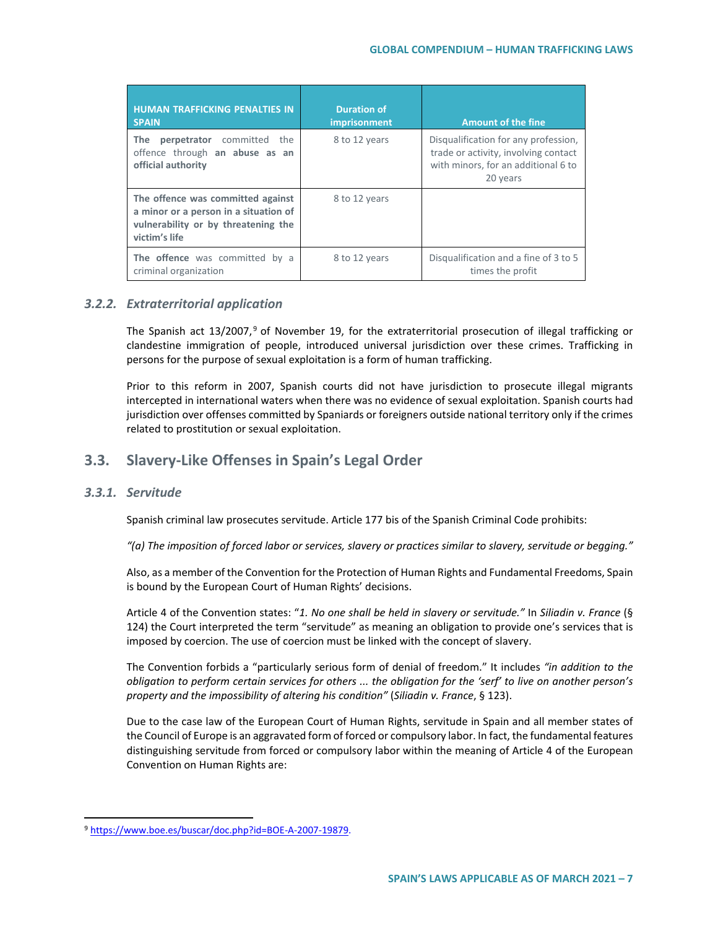| <b>HUMAN TRAFFICKING PENALTIES IN</b><br><b>SPAIN</b>                                                                              | <b>Duration of</b><br>imprisonment | <b>Amount of the fine</b>                                                                                                       |
|------------------------------------------------------------------------------------------------------------------------------------|------------------------------------|---------------------------------------------------------------------------------------------------------------------------------|
| <b>The</b><br>perpetrator committed<br>the<br>offence through an abuse as an<br>official authority                                 | 8 to 12 years                      | Disqualification for any profession,<br>trade or activity, involving contact<br>with minors, for an additional 6 to<br>20 years |
| The offence was committed against<br>a minor or a person in a situation of<br>vulnerability or by threatening the<br>victim's life | 8 to 12 years                      |                                                                                                                                 |
| The offence was committed by a<br>criminal organization                                                                            | 8 to 12 years                      | Disqualification and a fine of 3 to 5<br>times the profit                                                                       |

### *3.2.2. Extraterritorial application*

The Spanish act 13/2007,<sup>[9](#page-6-0)</sup> of November 19, for the extraterritorial prosecution of illegal trafficking or clandestine immigration of people, introduced universal jurisdiction over these crimes. Trafficking in persons for the purpose of sexual exploitation is a form of human trafficking.

Prior to this reform in 2007, Spanish courts did not have jurisdiction to prosecute illegal migrants intercepted in international waters when there was no evidence of sexual exploitation. Spanish courts had jurisdiction over offenses committed by Spaniards or foreigners outside national territory only if the crimes related to prostitution or sexual exploitation.

# **3.3. Slavery-Like Offenses in Spain's Legal Order**

### *3.3.1. Servitude*

Spanish criminal law prosecutes servitude. Article 177 bis of the Spanish Criminal Code prohibits:

*"(a) The imposition of forced labor or services, slavery or practices similar to slavery, servitude or begging."*

Also, as a member of the Convention for the Protection of Human Rights and Fundamental Freedoms, Spain is bound by the European Court of Human Rights' decisions.

Article 4 of the Convention states: "*1. No one shall be held in slavery or servitude."* In *Siliadin v. France* (§ 124) the Court interpreted the term "servitude" as meaning an obligation to provide one's services that is imposed by coercion. The use of coercion must be linked with the concept of slavery.

The Convention forbids a "particularly serious form of denial of freedom." It includes *"in addition to the obligation to perform certain services for others ... the obligation for the 'serf' to live on another person's property and the impossibility of altering his condition"* (*Siliadin v. France*, § 123).

Due to the case law of the European Court of Human Rights, servitude in Spain and all member states of the Council of Europe is an aggravated form of forced or compulsory labor. In fact, the fundamental features distinguishing servitude from forced or compulsory labor within the meaning of Article 4 of the European Convention on Human Rights are:

<span id="page-6-0"></span> <sup>9</sup> [https://www.boe.es/buscar/doc.php?id=BOE-A-2007-19879.](https://www.boe.es/buscar/doc.php?id=BOE-A-2007-19879)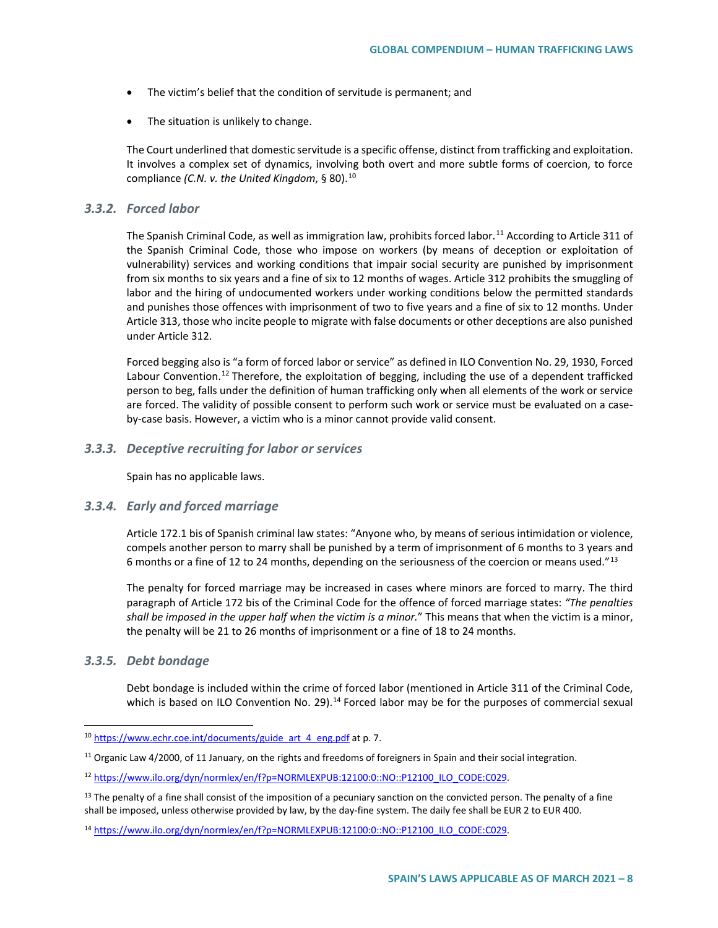- The victim's belief that the condition of servitude is permanent; and
- The situation is unlikely to change.

The Court underlined that domestic servitude is a specific offense, distinct from trafficking and exploitation. It involves a complex set of dynamics, involving both overt and more subtle forms of coercion, to force compliance *(C.N. v. the United Kingdom*, § 80).<sup>[10](#page-7-0)</sup>

### *3.3.2. Forced labor*

The Spanish Criminal Code, as well as immigration law, prohibits forced labor.<sup>[11](#page-7-1)</sup> According to Article 311 of the Spanish Criminal Code, those who impose on workers (by means of deception or exploitation of vulnerability) services and working conditions that impair social security are punished by imprisonment from six months to six years and a fine of six to 12 months of wages. Article 312 prohibits the smuggling of labor and the hiring of undocumented workers under working conditions below the permitted standards and punishes those offences with imprisonment of two to five years and a fine of six to 12 months. Under Article 313, those who incite people to migrate with false documents or other deceptions are also punished under Article 312.

Forced begging also is "a form of forced labor or service" as defined in ILO Convention No. 29, 1930, Forced Labour Convention.<sup>[12](#page-7-2)</sup> Therefore, the exploitation of begging, including the use of a dependent trafficked person to beg, falls under the definition of human trafficking only when all elements of the work or service are forced. The validity of possible consent to perform such work or service must be evaluated on a caseby-case basis. However, a victim who is a minor cannot provide valid consent.

### *3.3.3. Deceptive recruiting for labor or services*

Spain has no applicable laws.

#### *3.3.4. Early and forced marriage*

Article 172.1 bis of Spanish criminal law states: "Anyone who, by means of serious intimidation or violence, compels another person to marry shall be punished by a term of imprisonment of 6 months to 3 years and 6 months or a fine of 12 to 24 months, depending on the seriousness of the coercion or means used."[13](#page-7-3)

The penalty for forced marriage may be increased in cases where minors are forced to marry. The third paragraph of Article 172 bis of the Criminal Code for the offence of forced marriage states: *"The penalties shall be imposed in the upper half when the victim is a minor.*" This means that when the victim is a minor, the penalty will be 21 to 26 months of imprisonment or a fine of 18 to 24 months.

### *3.3.5. Debt bondage*

Debt bondage is included within the crime of forced labor (mentioned in Article 311 of the Criminal Code, which is based on ILO Convention No. 29).<sup>[14](#page-7-4)</sup> Forced labor may be for the purposes of commercial sexual

<span id="page-7-0"></span> $10$  https://www.echr.coe.int/documents/guide art 4 eng.pdf at p. 7.

<span id="page-7-1"></span> $11$  Organic Law 4/2000, of 11 January, on the rights and freedoms of foreigners in Spain and their social integration.

<span id="page-7-2"></span><sup>12</sup> [https://www.ilo.org/dyn/normlex/en/f?p=NORMLEXPUB:12100:0::NO::P12100\\_ILO\\_CODE:C029.](https://www.ilo.org/dyn/normlex/en/f?p=NORMLEXPUB:12100:0::NO::P12100_ILO_CODE:C029)

<span id="page-7-3"></span> $<sup>13</sup>$  The penalty of a fine shall consist of the imposition of a pecuniary sanction on the convicted person. The penalty of a fine</sup> shall be imposed, unless otherwise provided by law, by the day-fine system. The daily fee shall be EUR 2 to EUR 400.

<span id="page-7-4"></span><sup>14</sup> [https://www.ilo.org/dyn/normlex/en/f?p=NORMLEXPUB:12100:0::NO::P12100\\_ILO\\_CODE:C029.](https://www.ilo.org/dyn/normlex/en/f?p=NORMLEXPUB:12100:0::NO::P12100_ILO_CODE:C029)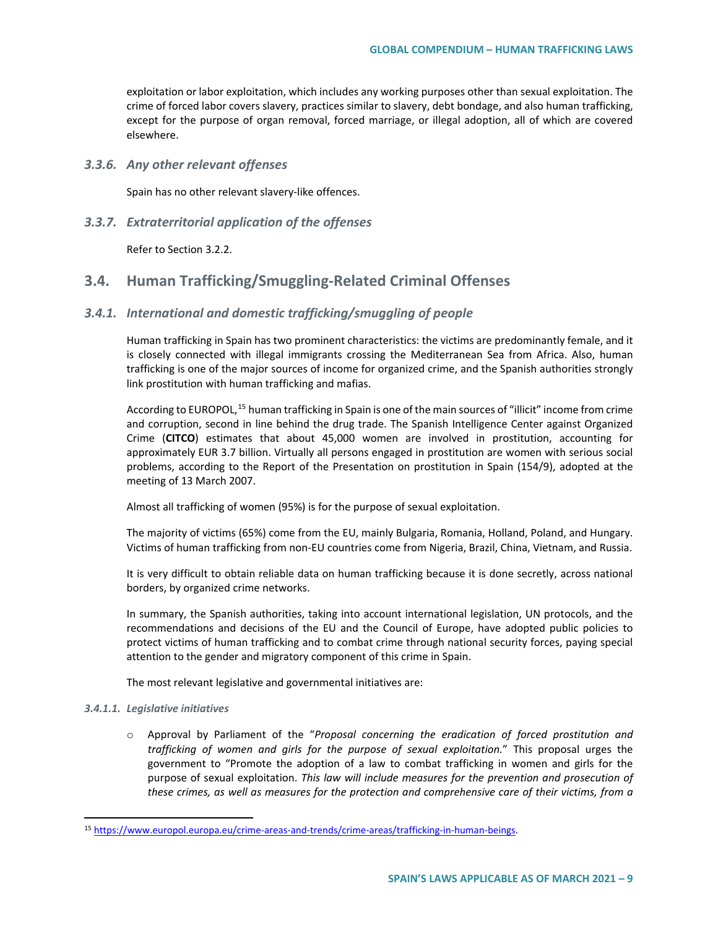exploitation or labor exploitation, which includes any working purposes other than sexual exploitation. The crime of forced labor covers slavery, practices similar to slavery, debt bondage, and also human trafficking, except for the purpose of organ removal, forced marriage, or illegal adoption, all of which are covered elsewhere.

### *3.3.6. Any other relevant offenses*

Spain has no other relevant slavery-like offences.

*3.3.7. Extraterritorial application of the offenses*

Refer to Section 3.2.2.

### **3.4. Human Trafficking/Smuggling-Related Criminal Offenses**

### *3.4.1. International and domestic trafficking/smuggling of people*

Human trafficking in Spain has two prominent characteristics: the victims are predominantly female, and it is closely connected with illegal immigrants crossing the Mediterranean Sea from Africa. Also, human trafficking is one of the major sources of income for organized crime, and the Spanish authorities strongly link prostitution with human trafficking and mafias.

According to EUROPOL,<sup>[15](#page-8-0)</sup> human trafficking in Spain is one of the main sources of "illicit" income from crime and corruption, second in line behind the drug trade. The Spanish Intelligence Center against Organized Crime (**CITCO**) estimates that about 45,000 women are involved in prostitution, accounting for approximately EUR 3.7 billion. Virtually all persons engaged in prostitution are women with serious social problems, according to the Report of the Presentation on prostitution in Spain (154/9), adopted at the meeting of 13 March 2007.

Almost all trafficking of women (95%) is for the purpose of sexual exploitation.

The majority of victims (65%) come from the EU, mainly Bulgaria, Romania, Holland, Poland, and Hungary. Victims of human trafficking from non-EU countries come from Nigeria, Brazil, China, Vietnam, and Russia.

It is very difficult to obtain reliable data on human trafficking because it is done secretly, across national borders, by organized crime networks.

In summary, the Spanish authorities, taking into account international legislation, UN protocols, and the recommendations and decisions of the EU and the Council of Europe, have adopted public policies to protect victims of human trafficking and to combat crime through national security forces, paying special attention to the gender and migratory component of this crime in Spain.

The most relevant legislative and governmental initiatives are:

#### *3.4.1.1. Legislative initiatives*

o Approval by Parliament of the "*Proposal concerning the eradication of forced prostitution and trafficking of women and girls for the purpose of sexual exploitation.*" This proposal urges the government to "Promote the adoption of a law to combat trafficking in women and girls for the purpose of sexual exploitation. *This law will include measures for the prevention and prosecution of these crimes, as well as measures for the protection and comprehensive care of their victims, from a* 

<span id="page-8-0"></span><sup>15</sup> [https://www.europol.europa.eu/crime-areas-and-trends/crime-areas/trafficking-in-human-beings.](https://www.europol.europa.eu/crime-areas-and-trends/crime-areas/trafficking-in-human-beings)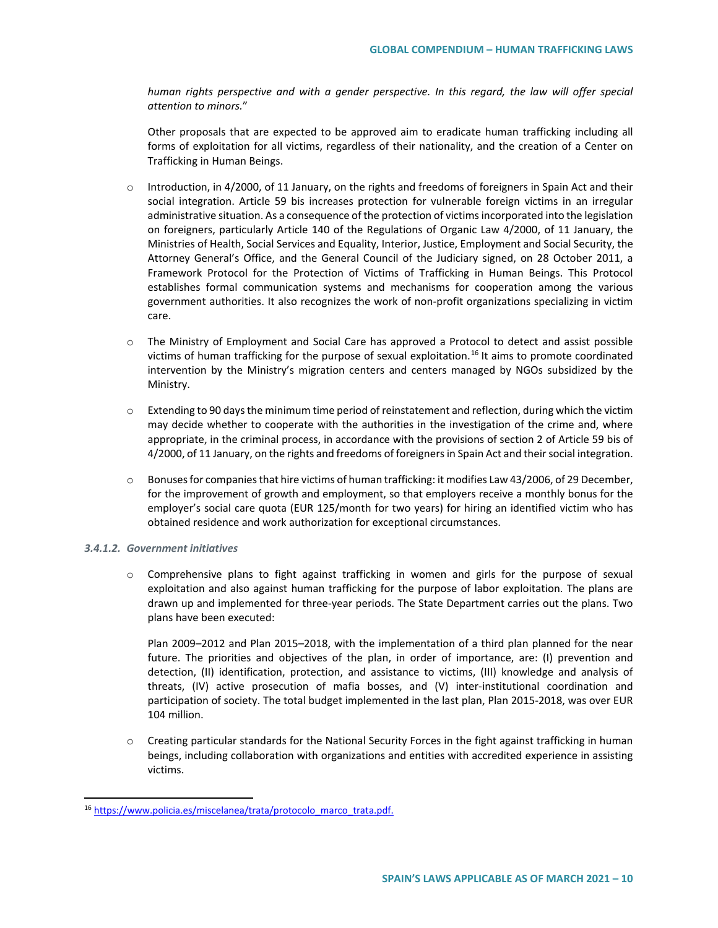*human rights perspective and with a gender perspective. In this regard, the law will offer special attention to minors.*"

Other proposals that are expected to be approved aim to eradicate human trafficking including all forms of exploitation for all victims, regardless of their nationality, and the creation of a Center on Trafficking in Human Beings.

- o Introduction, in 4/2000, of 11 January, on the rights and freedoms of foreigners in Spain Act and their social integration. Article 59 bis increases protection for vulnerable foreign victims in an irregular administrative situation. As a consequence of the protection of victims incorporated into the legislation on foreigners, particularly Article 140 of the Regulations of Organic Law 4/2000, of 11 January, the Ministries of Health, Social Services and Equality, Interior, Justice, Employment and Social Security, the Attorney General's Office, and the General Council of the Judiciary signed, on 28 October 2011, a Framework Protocol for the Protection of Victims of Trafficking in Human Beings. This Protocol establishes formal communication systems and mechanisms for cooperation among the various government authorities. It also recognizes the work of non-profit organizations specializing in victim care.
- o The Ministry of Employment and Social Care has approved a Protocol to detect and assist possible victims of human trafficking for the purpose of sexual exploitation.<sup>[16](#page-9-0)</sup> It aims to promote coordinated intervention by the Ministry's migration centers and centers managed by NGOs subsidized by the Ministry.
- $\circ$  Extending to 90 days the minimum time period of reinstatement and reflection, during which the victim may decide whether to cooperate with the authorities in the investigation of the crime and, where appropriate, in the criminal process, in accordance with the provisions of section 2 of Article 59 bis of 4/2000, of 11 January, on the rights and freedoms of foreigners in Spain Act and their social integration.
- $\circ$  Bonuses for companies that hire victims of human trafficking: it modifies Law 43/2006, of 29 December, for the improvement of growth and employment, so that employers receive a monthly bonus for the employer's social care quota (EUR 125/month for two years) for hiring an identified victim who has obtained residence and work authorization for exceptional circumstances.

#### *3.4.1.2. Government initiatives*

o Comprehensive plans to fight against trafficking in women and girls for the purpose of sexual exploitation and also against human trafficking for the purpose of labor exploitation. The plans are drawn up and implemented for three-year periods. The State Department carries out the plans. Two plans have been executed:

Plan 2009–2012 and Plan 2015–2018, with the implementation of a third plan planned for the near future. The priorities and objectives of the plan, in order of importance, are: (I) prevention and detection, (II) identification, protection, and assistance to victims, (III) knowledge and analysis of threats, (IV) active prosecution of mafia bosses, and (V) inter-institutional coordination and participation of society. The total budget implemented in the last plan, Plan 2015-2018, was over EUR 104 million.

o Creating particular standards for the National Security Forces in the fight against trafficking in human beings, including collaboration with organizations and entities with accredited experience in assisting victims.

<span id="page-9-0"></span> <sup>16</sup> [https://www.policia.es/miscelanea/trata/protocolo\\_marco\\_trata.pdf.](https://www.policia.es/miscelanea/trata/protocolo_marco_trata.pdf)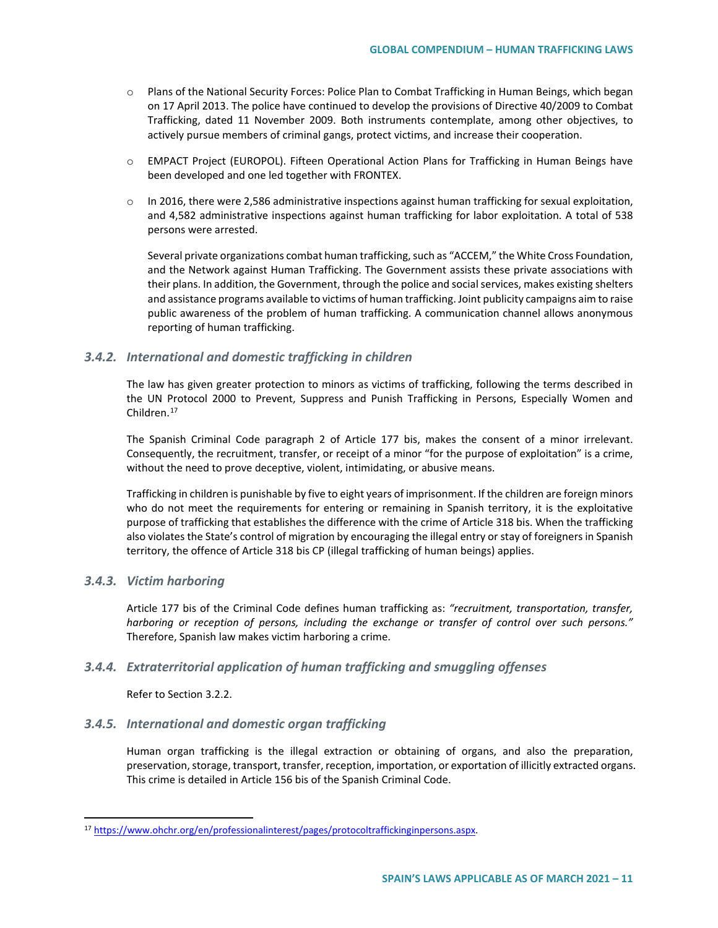- o Plans of the National Security Forces: Police Plan to Combat Trafficking in Human Beings, which began on 17 April 2013. The police have continued to develop the provisions of Directive 40/2009 to Combat Trafficking, dated 11 November 2009. Both instruments contemplate, among other objectives, to actively pursue members of criminal gangs, protect victims, and increase their cooperation.
- o EMPACT Project (EUROPOL). Fifteen Operational Action Plans for Trafficking in Human Beings have been developed and one led together with FRONTEX.
- $\circ$  In 2016, there were 2,586 administrative inspections against human trafficking for sexual exploitation, and 4,582 administrative inspections against human trafficking for labor exploitation. A total of 538 persons were arrested.

Several private organizations combat human trafficking, such as "ACCEM," the White Cross Foundation, and the Network against Human Trafficking. The Government assists these private associations with their plans. In addition, the Government, through the police and social services, makes existing shelters and assistance programs available to victims of human trafficking. Joint publicity campaigns aim to raise public awareness of the problem of human trafficking. A communication channel allows anonymous reporting of human trafficking.

### *3.4.2. International and domestic trafficking in children*

The law has given greater protection to minors as victims of trafficking, following the terms described in the UN Protocol 2000 to Prevent, Suppress and Punish Trafficking in Persons, Especially Women and Children.[17](#page-10-0)

The Spanish Criminal Code paragraph 2 of Article 177 bis, makes the consent of a minor irrelevant. Consequently, the recruitment, transfer, or receipt of a minor "for the purpose of exploitation" is a crime, without the need to prove deceptive, violent, intimidating, or abusive means.

Trafficking in children is punishable by five to eight years of imprisonment. If the children are foreign minors who do not meet the requirements for entering or remaining in Spanish territory, it is the exploitative purpose of trafficking that establishes the difference with the crime of Article 318 bis. When the trafficking also violates the State's control of migration by encouraging the illegal entry or stay of foreigners in Spanish territory, the offence of Article 318 bis CP (illegal trafficking of human beings) applies.

### *3.4.3. Victim harboring*

Article 177 bis of the Criminal Code defines human trafficking as: *"recruitment, transportation, transfer, harboring or reception of persons, including the exchange or transfer of control over such persons."*  Therefore, Spanish law makes victim harboring a crime.

### *3.4.4. Extraterritorial application of human trafficking and smuggling offenses*

Refer to Section 3.2.2.

### *3.4.5. International and domestic organ trafficking*

Human organ trafficking is the illegal extraction or obtaining of organs, and also the preparation, preservation, storage, transport, transfer, reception, importation, or exportation of illicitly extracted organs. This crime is detailed in Article 156 bis of the Spanish Criminal Code.

<span id="page-10-0"></span><sup>17</sup> [https://www.ohchr.org/en/professionalinterest/pages/protocoltraffickinginpersons.aspx.](https://www.ohchr.org/en/professionalinterest/pages/protocoltraffickinginpersons.aspx)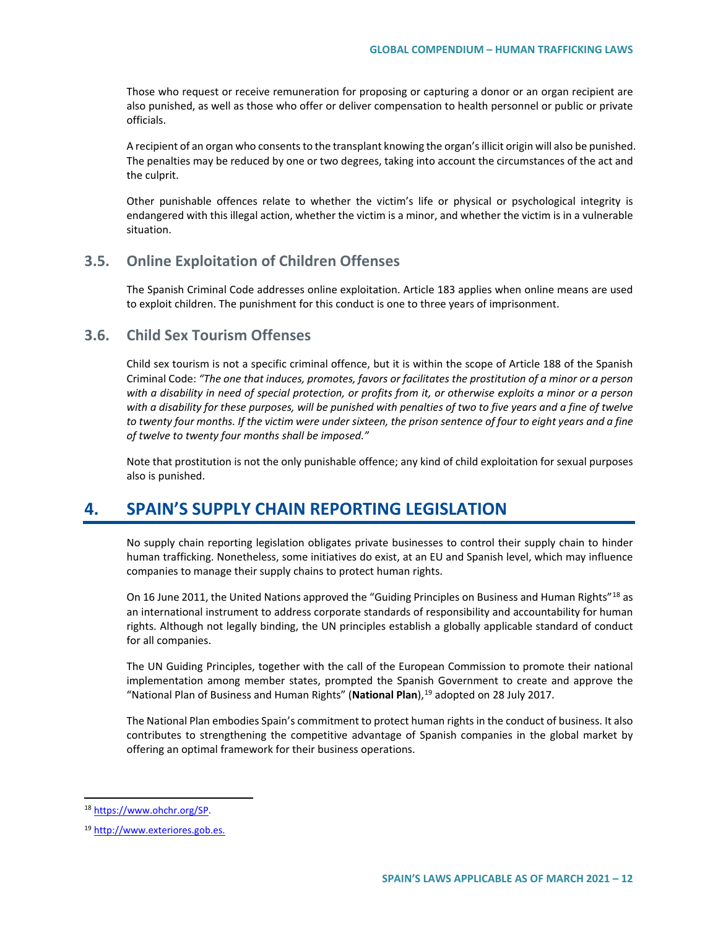Those who request or receive remuneration for proposing or capturing a donor or an organ recipient are also punished, as well as those who offer or deliver compensation to health personnel or public or private officials.

A recipient of an organ who consents to the transplant knowing the organ's illicit origin will also be punished. The penalties may be reduced by one or two degrees, taking into account the circumstances of the act and the culprit.

Other punishable offences relate to whether the victim's life or physical or psychological integrity is endangered with this illegal action, whether the victim is a minor, and whether the victim is in a vulnerable situation.

## **3.5. Online Exploitation of Children Offenses**

The Spanish Criminal Code addresses online exploitation. Article 183 applies when online means are used to exploit children. The punishment for this conduct is one to three years of imprisonment.

# **3.6. Child Sex Tourism Offenses**

Child sex tourism is not a specific criminal offence, but it is within the scope of Article 188 of the Spanish Criminal Code: *"The one that induces, promotes, favors or facilitates the prostitution of a minor or a person with a disability in need of special protection, or profits from it, or otherwise exploits a minor or a person with a disability for these purposes, will be punished with penalties of two to five years and a fine of twelve to twenty four months. If the victim were under sixteen, the prison sentence of four to eight years and a fine of twelve to twenty four months shall be imposed."* 

Note that prostitution is not the only punishable offence; any kind of child exploitation for sexual purposes also is punished.

# **4. SPAIN'S SUPPLY CHAIN REPORTING LEGISLATION**

No supply chain reporting legislation obligates private businesses to control their supply chain to hinder human trafficking. Nonetheless, some initiatives do exist, at an EU and Spanish level, which may influence companies to manage their supply chains to protect human rights.

On 16 June 2011, the United Nations approved the "Guiding Principles on Business and Human Rights"<sup>18</sup> as an international instrument to address corporate standards of responsibility and accountability for human rights. Although not legally binding, the UN principles establish a globally applicable standard of conduct for all companies.

The UN Guiding Principles, together with the call of the European Commission to promote their national implementation among member states, prompted the Spanish Government to create and approve the "National Plan of Business and Human Rights" (**National Plan**), [19](#page-11-1) adopted on 28 July 2017.

The National Plan embodies Spain's commitment to protect human rights in the conduct of business. It also contributes to strengthening the competitive advantage of Spanish companies in the global market by offering an optimal framework for their business operations.

<span id="page-11-0"></span> <sup>18</sup> [https://www.ohchr.org/SP.](https://www.ohchr.org/SP)

<span id="page-11-1"></span><sup>19</sup> [http://www.exteriores.gob.es.](http://www.exteriores.gob.es/)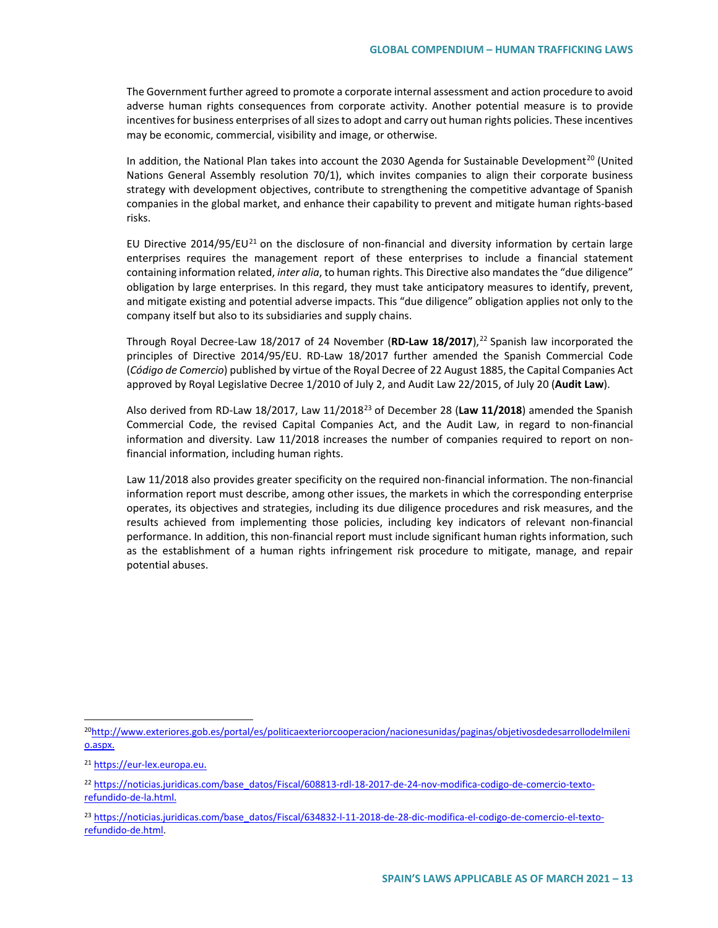The Government further agreed to promote a corporate internal assessment and action procedure to avoid adverse human rights consequences from corporate activity. Another potential measure is to provide incentives for business enterprises of all sizes to adopt and carry out human rights policies. These incentives may be economic, commercial, visibility and image, or otherwise.

In addition, the National Plan takes into account the [20](#page-12-0)30 Agenda for Sustainable Development<sup>20</sup> (United Nations General Assembly resolution 70/1), which invites companies to align their corporate business strategy with development objectives, contribute to strengthening the competitive advantage of Spanish companies in the global market, and enhance their capability to prevent and mitigate human rights-based risks.

EU Directive 2014/95/EU<sup>[21](#page-12-1)</sup> on the disclosure of non-financial and diversity information by certain large enterprises requires the management report of these enterprises to include a financial statement containing information related, *inter alia*, to human rights. This Directive also mandates the "due diligence" obligation by large enterprises. In this regard, they must take anticipatory measures to identify, prevent, and mitigate existing and potential adverse impacts. This "due diligence" obligation applies not only to the company itself but also to its subsidiaries and supply chains.

Through Royal Decree-Law 18/2017 of 24 November (RD-Law 18/2017),<sup>[22](#page-12-2)</sup> Spanish law incorporated the principles of Directive 2014/95/EU. RD-Law 18/2017 further amended the Spanish Commercial Code (*Código de Comercio*) published by virtue of the Royal Decree of 22 August 1885, the Capital Companies Act approved by Royal Legislative Decree 1/2010 of July 2, and Audit Law 22/2015, of July 20 (**Audit Law**).

Also derived from RD-Law 18/2017, Law 11/2018<sup>[23](#page-12-3)</sup> of December 28 (Law 11/2018) amended the Spanish Commercial Code, the revised Capital Companies Act, and the Audit Law, in regard to non-financial information and diversity. Law 11/2018 increases the number of companies required to report on nonfinancial information, including human rights.

Law 11/2018 also provides greater specificity on the required non-financial information. The non-financial information report must describe, among other issues, the markets in which the corresponding enterprise operates, its objectives and strategies, including its due diligence procedures and risk measures, and the results achieved from implementing those policies, including key indicators of relevant non-financial performance. In addition, this non-financial report must include significant human rights information, such as the establishment of a human rights infringement risk procedure to mitigate, manage, and repair potential abuses.

<span id="page-12-1"></span><sup>21</sup> [https://eur-lex.europa.eu.](https://eur-lex.europa.eu/legal-content/ES/TXT/?uri=CELEX%3A32014L0095)

<span id="page-12-0"></span> <sup>2</sup>[0http://www.exteriores.gob.es/portal/es/politicaexteriorcooperacion/nacionesunidas/paginas/objetivosdedesarrollodelmileni](http://www.exteriores.gob.es/portal/es/politicaexteriorcooperacion/nacionesunidas/paginas/objetivosdedesarrollodelmilenio.aspx) [o.aspx.](http://www.exteriores.gob.es/portal/es/politicaexteriorcooperacion/nacionesunidas/paginas/objetivosdedesarrollodelmilenio.aspx)

<span id="page-12-2"></span><sup>22</sup> [https://noticias.juridicas.com/base\\_datos/Fiscal/608813-rdl-18-2017-de-24-nov-modifica-codigo-de-comercio-texto](https://noticias.juridicas.com/base_datos/Fiscal/608813-rdl-18-2017-de-24-nov-modifica-codigo-de-comercio-texto-refundido-de-la.html)[refundido-de-la.html.](https://noticias.juridicas.com/base_datos/Fiscal/608813-rdl-18-2017-de-24-nov-modifica-codigo-de-comercio-texto-refundido-de-la.html)

<span id="page-12-3"></span><sup>&</sup>lt;sup>23</sup> [https://noticias.juridicas.com/base\\_datos/Fiscal/634832-l-11-2018-de-28-dic-modifica-el-codigo-de-comercio-el-texto](https://noticias.juridicas.com/base_datos/Fiscal/634832-l-11-2018-de-28-dic-modifica-el-codigo-de-comercio-el-texto-refundido-de.html)[refundido-de.html.](https://noticias.juridicas.com/base_datos/Fiscal/634832-l-11-2018-de-28-dic-modifica-el-codigo-de-comercio-el-texto-refundido-de.html)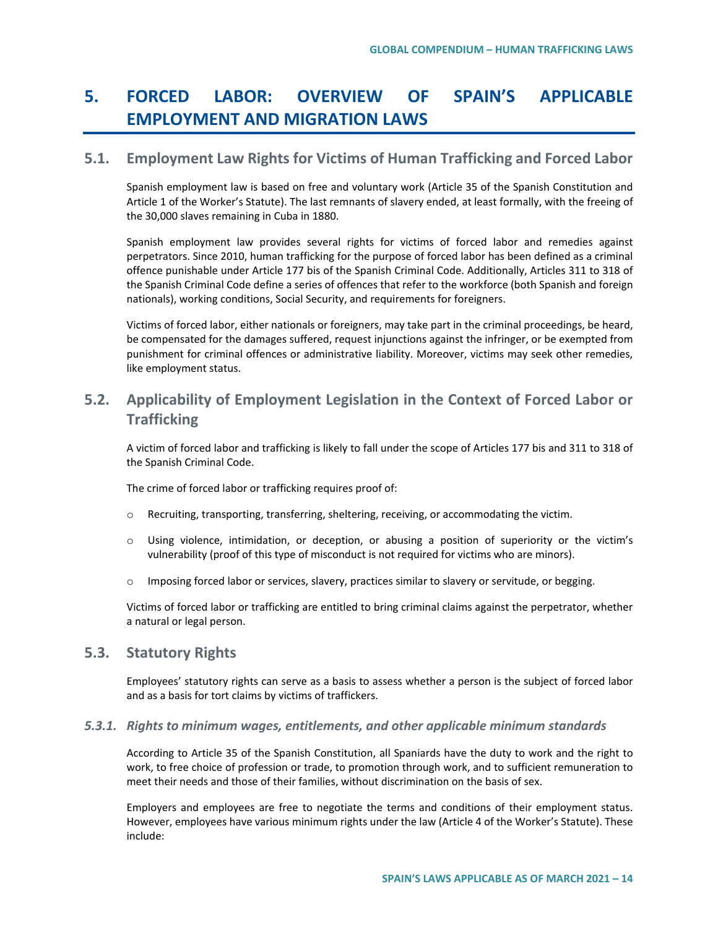# **5. FORCED LABOR: OVERVIEW OF SPAIN'S APPLICABLE EMPLOYMENT AND MIGRATION LAWS**

# **5.1. Employment Law Rights for Victims of Human Trafficking and Forced Labor**

Spanish employment law is based on free and voluntary work (Article 35 of the Spanish Constitution and Article 1 of the Worker's Statute). The last remnants of slavery ended, at least formally, with the freeing of the 30,000 slaves remaining in Cuba in 1880.

Spanish employment law provides several rights for victims of forced labor and remedies against perpetrators. Since 2010, human trafficking for the purpose of forced labor has been defined as a criminal offence punishable under Article 177 bis of the Spanish Criminal Code. Additionally, Articles 311 to 318 of the Spanish Criminal Code define a series of offences that refer to the workforce (both Spanish and foreign nationals), working conditions, Social Security, and requirements for foreigners.

Victims of forced labor, either nationals or foreigners, may take part in the criminal proceedings, be heard, be compensated for the damages suffered, request injunctions against the infringer, or be exempted from punishment for criminal offences or administrative liability. Moreover, victims may seek other remedies, like employment status.

# **5.2. Applicability of Employment Legislation in the Context of Forced Labor or Trafficking**

A victim of forced labor and trafficking is likely to fall under the scope of Articles 177 bis and 311 to 318 of the Spanish Criminal Code.

The crime of forced labor or trafficking requires proof of:

- o Recruiting, transporting, transferring, sheltering, receiving, or accommodating the victim.
- o Using violence, intimidation, or deception, or abusing a position of superiority or the victim's vulnerability (proof of this type of misconduct is not required for victims who are minors).
- o Imposing forced labor or services, slavery, practices similar to slavery or servitude, or begging.

Victims of forced labor or trafficking are entitled to bring criminal claims against the perpetrator, whether a natural or legal person.

### **5.3. Statutory Rights**

Employees' statutory rights can serve as a basis to assess whether a person is the subject of forced labor and as a basis for tort claims by victims of traffickers.

### *5.3.1. Rights to minimum wages, entitlements, and other applicable minimum standards*

According to Article 35 of the Spanish Constitution, all Spaniards have the duty to work and the right to work, to free choice of profession or trade, to promotion through work, and to sufficient remuneration to meet their needs and those of their families, without discrimination on the basis of sex.

Employers and employees are free to negotiate the terms and conditions of their employment status. However, employees have various minimum rights under the law (Article 4 of the Worker's Statute). These include: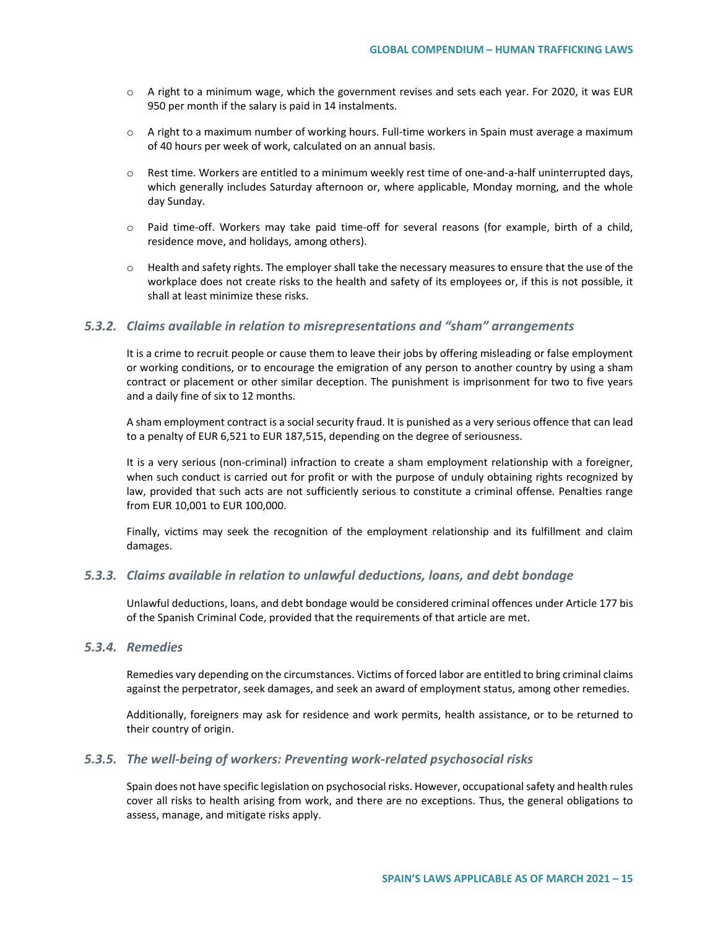- o A right to a minimum wage, which the government revises and sets each year. For 2020, it was EUR 950 per month if the salary is paid in 14 instalments.
- $\circ$  A right to a maximum number of working hours. Full-time workers in Spain must average a maximum of 40 hours per week of work, calculated on an annual basis.
- o Rest time. Workers are entitled to a minimum weekly rest time of one-and-a-half uninterrupted days, which generally includes Saturday afternoon or, where applicable, Monday morning, and the whole day Sunday.
- o Paid time-off. Workers may take paid time-off for several reasons (for example, birth of a child, residence move, and holidays, among others).
- $\circ$  Health and safety rights. The employer shall take the necessary measures to ensure that the use of the workplace does not create risks to the health and safety of its employees or, if this is not possible, it shall at least minimize these risks.

### *5.3.2. Claims available in relation to misrepresentations and "sham" arrangements*

It is a crime to recruit people or cause them to leave their jobs by offering misleading or false employment or working conditions, or to encourage the emigration of any person to another country by using a sham contract or placement or other similar deception. The punishment is imprisonment for two to five years and a daily fine of six to 12 months.

A sham employment contract is a social security fraud. It is punished as a very serious offence that can lead to a penalty of EUR 6,521 to EUR 187,515, depending on the degree of seriousness.

It is a very serious (non-criminal) infraction to create a sham employment relationship with a foreigner, when such conduct is carried out for profit or with the purpose of unduly obtaining rights recognized by law, provided that such acts are not sufficiently serious to constitute a criminal offense. Penalties range from EUR 10,001 to EUR 100,000.

Finally, victims may seek the recognition of the employment relationship and its fulfillment and claim damages.

### *5.3.3. Claims available in relation to unlawful deductions, loans, and debt bondage*

Unlawful deductions, loans, and debt bondage would be considered criminal offences under Article 177 bis of the Spanish Criminal Code, provided that the requirements of that article are met.

### *5.3.4. Remedies*

Remedies vary depending on the circumstances. Victims of forced labor are entitled to bring criminal claims against the perpetrator, seek damages, and seek an award of employment status, among other remedies.

Additionally, foreigners may ask for residence and work permits, health assistance, or to be returned to their country of origin.

### *5.3.5. The well-being of workers: Preventing work-related psychosocial risks*

Spain does not have specific legislation on psychosocial risks. However, occupational safety and health rules cover all risks to health arising from work, and there are no exceptions. Thus, the general obligations to assess, manage, and mitigate risks apply.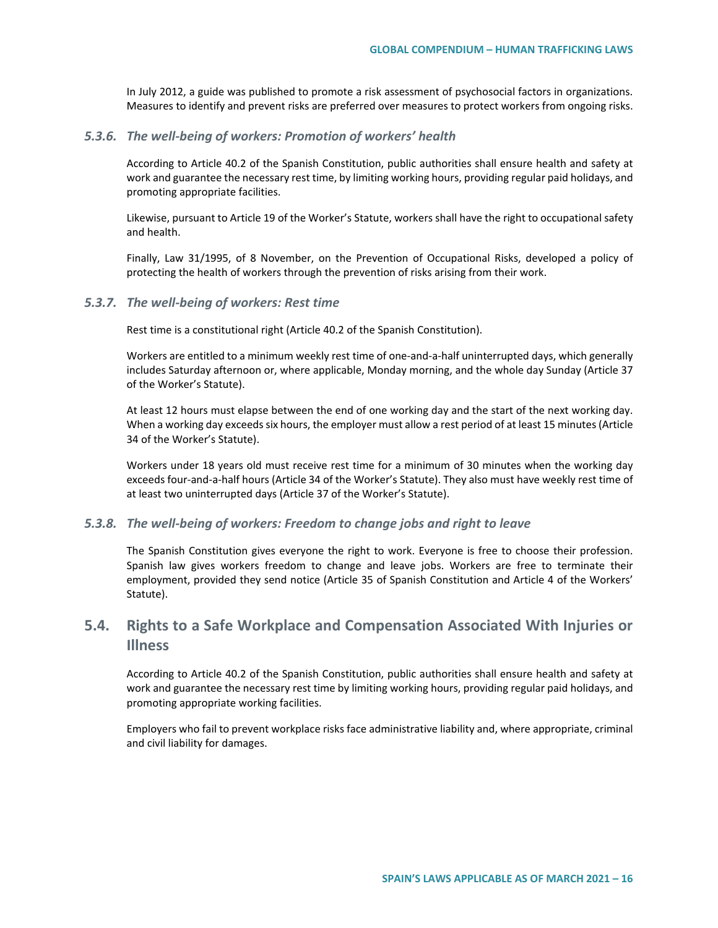In July 2012, a guide was published to promote a risk assessment of psychosocial factors in organizations. Measures to identify and prevent risks are preferred over measures to protect workers from ongoing risks.

### *5.3.6. The well-being of workers: Promotion of workers' health*

According to Article 40.2 of the Spanish Constitution, public authorities shall ensure health and safety at work and guarantee the necessary rest time, by limiting working hours, providing regular paid holidays, and promoting appropriate facilities.

Likewise, pursuant to Article 19 of the Worker's Statute, workers shall have the right to occupational safety and health.

Finally, Law 31/1995, of 8 November, on the Prevention of Occupational Risks, developed a policy of protecting the health of workers through the prevention of risks arising from their work.

### *5.3.7. The well-being of workers: Rest time*

Rest time is a constitutional right (Article 40.2 of the Spanish Constitution).

Workers are entitled to a minimum weekly rest time of one-and-a-half uninterrupted days, which generally includes Saturday afternoon or, where applicable, Monday morning, and the whole day Sunday (Article 37 of the Worker's Statute).

At least 12 hours must elapse between the end of one working day and the start of the next working day. When a working day exceeds six hours, the employer must allow a rest period of at least 15 minutes (Article 34 of the Worker's Statute).

Workers under 18 years old must receive rest time for a minimum of 30 minutes when the working day exceeds four-and-a-half hours (Article 34 of the Worker's Statute). They also must have weekly rest time of at least two uninterrupted days (Article 37 of the Worker's Statute).

### *5.3.8. The well-being of workers: Freedom to change jobs and right to leave*

The Spanish Constitution gives everyone the right to work. Everyone is free to choose their profession. Spanish law gives workers freedom to change and leave jobs. Workers are free to terminate their employment, provided they send notice (Article 35 of Spanish Constitution and Article 4 of the Workers' Statute).

# **5.4. Rights to a Safe Workplace and Compensation Associated With Injuries or Illness**

According to Article 40.2 of the Spanish Constitution, public authorities shall ensure health and safety at work and guarantee the necessary rest time by limiting working hours, providing regular paid holidays, and promoting appropriate working facilities.

Employers who fail to prevent workplace risks face administrative liability and, where appropriate, criminal and civil liability for damages.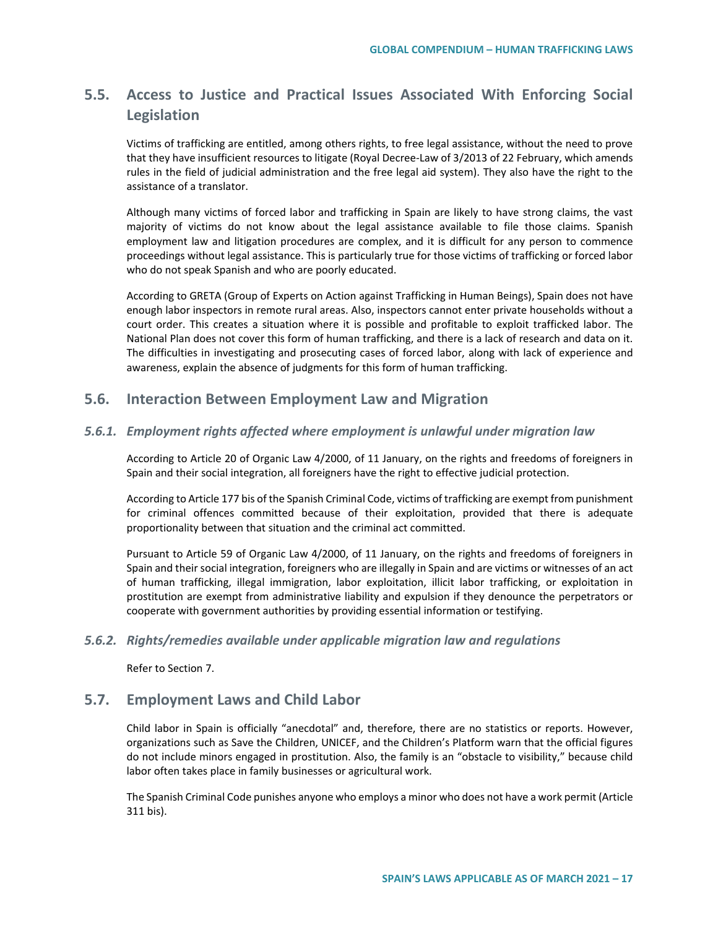# **5.5. Access to Justice and Practical Issues Associated With Enforcing Social Legislation**

Victims of trafficking are entitled, among others rights, to free legal assistance, without the need to prove that they have insufficient resources to litigate (Royal Decree-Law of 3/2013 of 22 February, which amends rules in the field of judicial administration and the free legal aid system). They also have the right to the assistance of a translator.

Although many victims of forced labor and trafficking in Spain are likely to have strong claims, the vast majority of victims do not know about the legal assistance available to file those claims. Spanish employment law and litigation procedures are complex, and it is difficult for any person to commence proceedings without legal assistance. This is particularly true for those victims of trafficking or forced labor who do not speak Spanish and who are poorly educated.

According to GRETA (Group of Experts on Action against Trafficking in Human Beings), Spain does not have enough labor inspectors in remote rural areas. Also, inspectors cannot enter private households without a court order. This creates a situation where it is possible and profitable to exploit trafficked labor. The National Plan does not cover this form of human trafficking, and there is a lack of research and data on it. The difficulties in investigating and prosecuting cases of forced labor, along with lack of experience and awareness, explain the absence of judgments for this form of human trafficking.

### **5.6. Interaction Between Employment Law and Migration**

### *5.6.1. Employment rights affected where employment is unlawful under migration law*

According to Article 20 of Organic Law 4/2000, of 11 January, on the rights and freedoms of foreigners in Spain and their social integration, all foreigners have the right to effective judicial protection.

According to Article 177 bis of the Spanish Criminal Code, victims of trafficking are exempt from punishment for criminal offences committed because of their exploitation, provided that there is adequate proportionality between that situation and the criminal act committed.

Pursuant to Article 59 of Organic Law 4/2000, of 11 January, on the rights and freedoms of foreigners in Spain and their social integration, foreigners who are illegally in Spain and are victims or witnesses of an act of human trafficking, illegal immigration, labor exploitation, illicit labor trafficking, or exploitation in prostitution are exempt from administrative liability and expulsion if they denounce the perpetrators or cooperate with government authorities by providing essential information or testifying.

### *5.6.2. Rights/remedies available under applicable migration law and regulations*

Refer to Section 7.

### **5.7. Employment Laws and Child Labor**

Child labor in Spain is officially "anecdotal" and, therefore, there are no statistics or reports. However, organizations such as Save the Children, UNICEF, and the Children's Platform warn that the official figures do not include minors engaged in prostitution. Also, the family is an "obstacle to visibility," because child labor often takes place in family businesses or agricultural work.

The Spanish Criminal Code punishes anyone who employs a minor who does not have a work permit (Article 311 bis).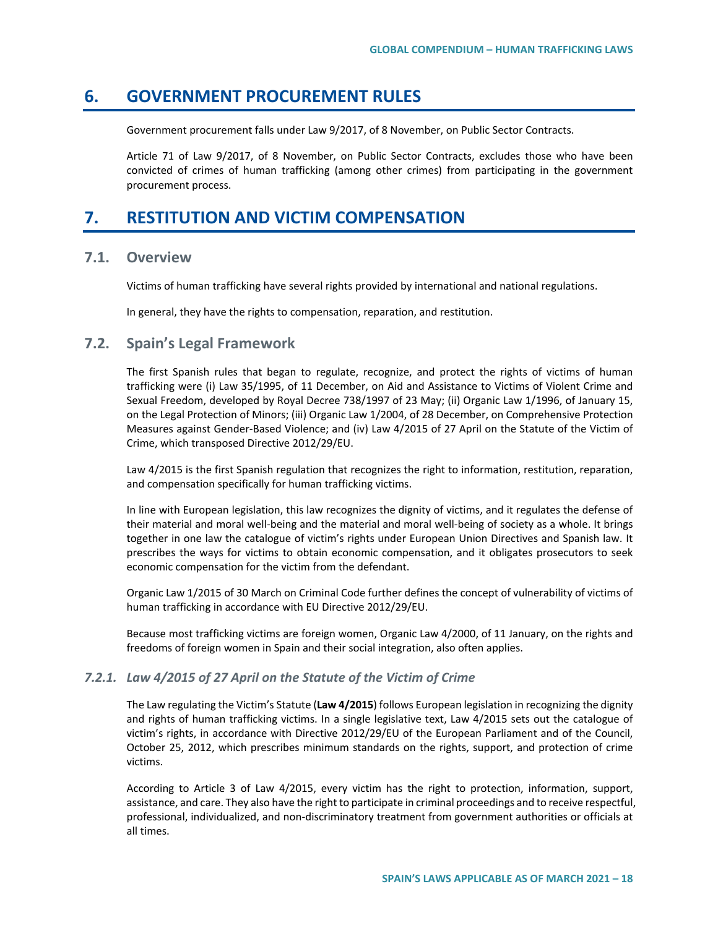# **6. GOVERNMENT PROCUREMENT RULES**

Government procurement falls under Law 9/2017, of 8 November, on Public Sector Contracts.

Article 71 of Law 9/2017, of 8 November, on Public Sector Contracts, excludes those who have been convicted of crimes of human trafficking (among other crimes) from participating in the government procurement process.

# **7. RESTITUTION AND VICTIM COMPENSATION**

### **7.1. Overview**

Victims of human trafficking have several rights provided by international and national regulations.

In general, they have the rights to compensation, reparation, and restitution.

### **7.2. Spain's Legal Framework**

The first Spanish rules that began to regulate, recognize, and protect the rights of victims of human trafficking were (i) Law 35/1995, of 11 December, on Aid and Assistance to Victims of Violent Crime and Sexual Freedom, developed by Royal Decree 738/1997 of 23 May; (ii) Organic Law 1/1996, of January 15, on the Legal Protection of Minors; (iii) Organic Law 1/2004, of 28 December, on Comprehensive Protection Measures against Gender-Based Violence; and (iv) Law 4/2015 of 27 April on the Statute of the Victim of Crime, which transposed Directive 2012/29/EU.

Law 4/2015 is the first Spanish regulation that recognizes the right to information, restitution, reparation, and compensation specifically for human trafficking victims.

In line with European legislation, this law recognizes the dignity of victims, and it regulates the defense of their material and moral well-being and the material and moral well-being of society as a whole. It brings together in one law the catalogue of victim's rights under European Union Directives and Spanish law. It prescribes the ways for victims to obtain economic compensation, and it obligates prosecutors to seek economic compensation for the victim from the defendant.

Organic Law 1/2015 of 30 March on Criminal Code further defines the concept of vulnerability of victims of human trafficking in accordance with EU Directive 2012/29/EU.

Because most trafficking victims are foreign women, Organic Law 4/2000, of 11 January, on the rights and freedoms of foreign women in Spain and their social integration, also often applies.

### *7.2.1. Law 4/2015 of 27 April on the Statute of the Victim of Crime*

The Law regulating the Victim's Statute (**Law 4/2015**) follows European legislation in recognizing the dignity and rights of human trafficking victims. In a single legislative text, Law 4/2015 sets out the catalogue of victim's rights, in accordance with Directive 2012/29/EU of the European Parliament and of the Council, October 25, 2012, which prescribes minimum standards on the rights, support, and protection of crime victims.

According to Article 3 of Law 4/2015, every victim has the right to protection, information, support, assistance, and care. They also have the right to participate in criminal proceedings and to receive respectful, professional, individualized, and non-discriminatory treatment from government authorities or officials at all times.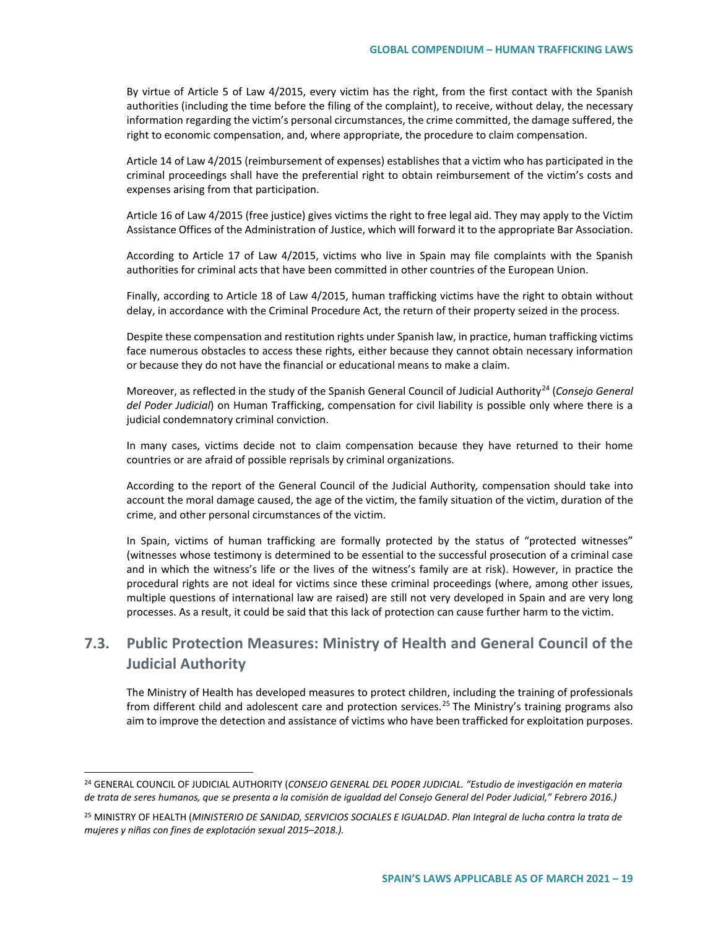By virtue of Article 5 of Law 4/2015, every victim has the right, from the first contact with the Spanish authorities (including the time before the filing of the complaint), to receive, without delay, the necessary information regarding the victim's personal circumstances, the crime committed, the damage suffered, the right to economic compensation, and, where appropriate, the procedure to claim compensation.

Article 14 of Law 4/2015 (reimbursement of expenses) establishes that a victim who has participated in the criminal proceedings shall have the preferential right to obtain reimbursement of the victim's costs and expenses arising from that participation.

Article 16 of Law 4/2015 (free justice) gives victims the right to free legal aid. They may apply to the Victim Assistance Offices of the Administration of Justice, which will forward it to the appropriate Bar Association.

According to Article 17 of Law 4/2015, victims who live in Spain may file complaints with the Spanish authorities for criminal acts that have been committed in other countries of the European Union.

Finally, according to Article 18 of Law 4/2015, human trafficking victims have the right to obtain without delay, in accordance with the Criminal Procedure Act, the return of their property seized in the process.

Despite these compensation and restitution rights under Spanish law, in practice, human trafficking victims face numerous obstacles to access these rights, either because they cannot obtain necessary information or because they do not have the financial or educational means to make a claim.

Moreover, as reflected in the study of the Spanish General Council of Judicial Authority[24](#page-18-0) (*Consejo General del Poder Judicial*) on Human Trafficking, compensation for civil liability is possible only where there is a judicial condemnatory criminal conviction.

In many cases, victims decide not to claim compensation because they have returned to their home countries or are afraid of possible reprisals by criminal organizations.

According to the report of the General Council of the Judicial Authority*,* compensation should take into account the moral damage caused, the age of the victim, the family situation of the victim, duration of the crime, and other personal circumstances of the victim.

In Spain, victims of human trafficking are formally protected by the status of "protected witnesses" (witnesses whose testimony is determined to be essential to the successful prosecution of a criminal case and in which the witness's life or the lives of the witness's family are at risk). However, in practice the procedural rights are not ideal for victims since these criminal proceedings (where, among other issues, multiple questions of international law are raised) are still not very developed in Spain and are very long processes. As a result, it could be said that this lack of protection can cause further harm to the victim.

# **7.3. Public Protection Measures: Ministry of Health and General Council of the Judicial Authority**

The Ministry of Health has developed measures to protect children, including the training of professionals from different child and adolescent care and protection services.<sup>[25](#page-18-1)</sup> The Ministry's training programs also aim to improve the detection and assistance of victims who have been trafficked for exploitation purposes.

<span id="page-18-0"></span> <sup>24</sup> GENERAL COUNCIL OF JUDICIAL AUTHORITY (*CONSEJO GENERAL DEL PODER JUDICIAL. "Estudio de investigación en materia de trata de seres humanos, que se presenta a la comisión de igualdad del Consejo General del Poder Judicial," Febrero 2016.)*

<span id="page-18-1"></span><sup>25</sup> MINISTRY OF HEALTH (*MINISTERIO DE SANIDAD, SERVICIOS SOCIALES E IGUALDAD*. *Plan Integral de lucha contra la trata de mujeres y niñas con fines de explotación sexual 2015–2018.).*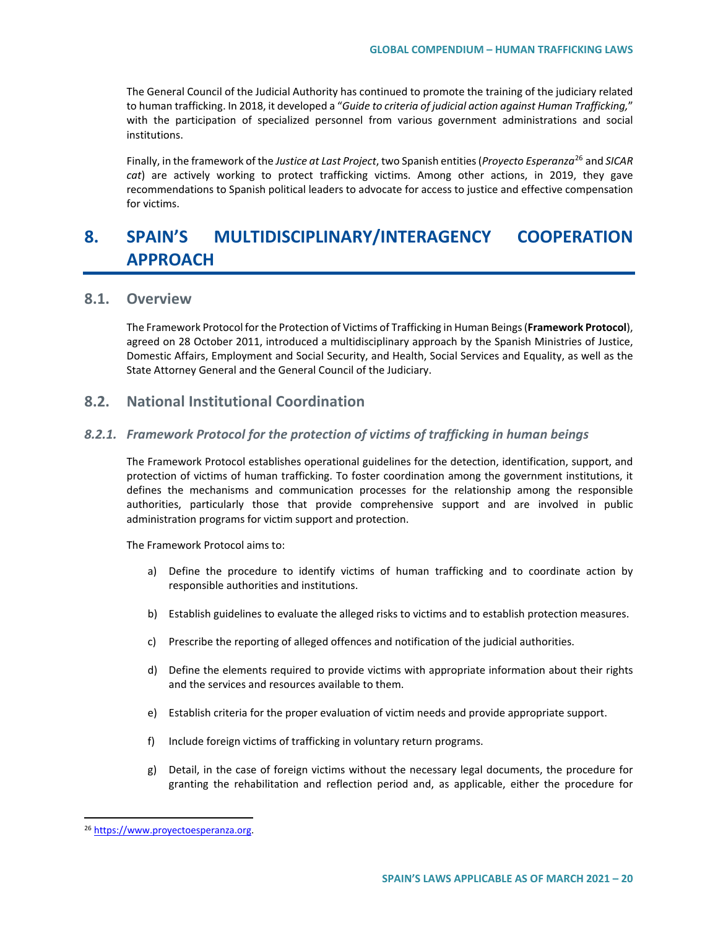The General Council of the Judicial Authority has continued to promote the training of the judiciary related to human trafficking. In 2018, it developed a "*Guide to criteria of judicial action against Human Trafficking,*" with the participation of specialized personnel from various government administrations and social institutions.

Finally, in the framework of the *Justice at Last Project*, two Spanish entities (*Proyecto Esperanza*[26](#page-19-0) and *SICAR cat*) are actively working to protect trafficking victims. Among other actions, in 2019, they gave recommendations to Spanish political leaders to advocate for access to justice and effective compensation for victims.

# **8. SPAIN'S MULTIDISCIPLINARY/INTERAGENCY COOPERATION APPROACH**

### **8.1. Overview**

The Framework Protocol for the Protection of Victims of Trafficking in Human Beings (**Framework Protocol**), agreed on 28 October 2011, introduced a multidisciplinary approach by the Spanish Ministries of Justice, Domestic Affairs, Employment and Social Security, and Health, Social Services and Equality, as well as the State Attorney General and the General Council of the Judiciary.

# **8.2. National Institutional Coordination**

### *8.2.1. Framework Protocol for the protection of victims of trafficking in human beings*

The Framework Protocol establishes operational guidelines for the detection, identification, support, and protection of victims of human trafficking. To foster coordination among the government institutions, it defines the mechanisms and communication processes for the relationship among the responsible authorities, particularly those that provide comprehensive support and are involved in public administration programs for victim support and protection.

The Framework Protocol aims to:

- a) Define the procedure to identify victims of human trafficking and to coordinate action by responsible authorities and institutions.
- b) Establish guidelines to evaluate the alleged risks to victims and to establish protection measures.
- c) Prescribe the reporting of alleged offences and notification of the judicial authorities.
- d) Define the elements required to provide victims with appropriate information about their rights and the services and resources available to them.
- e) Establish criteria for the proper evaluation of victim needs and provide appropriate support.
- f) Include foreign victims of trafficking in voluntary return programs.
- g) Detail, in the case of foreign victims without the necessary legal documents, the procedure for granting the rehabilitation and reflection period and, as applicable, either the procedure for

<span id="page-19-0"></span><sup>26</sup> [https://www.proyectoesperanza.org.](https://www.proyectoesperanza.org/)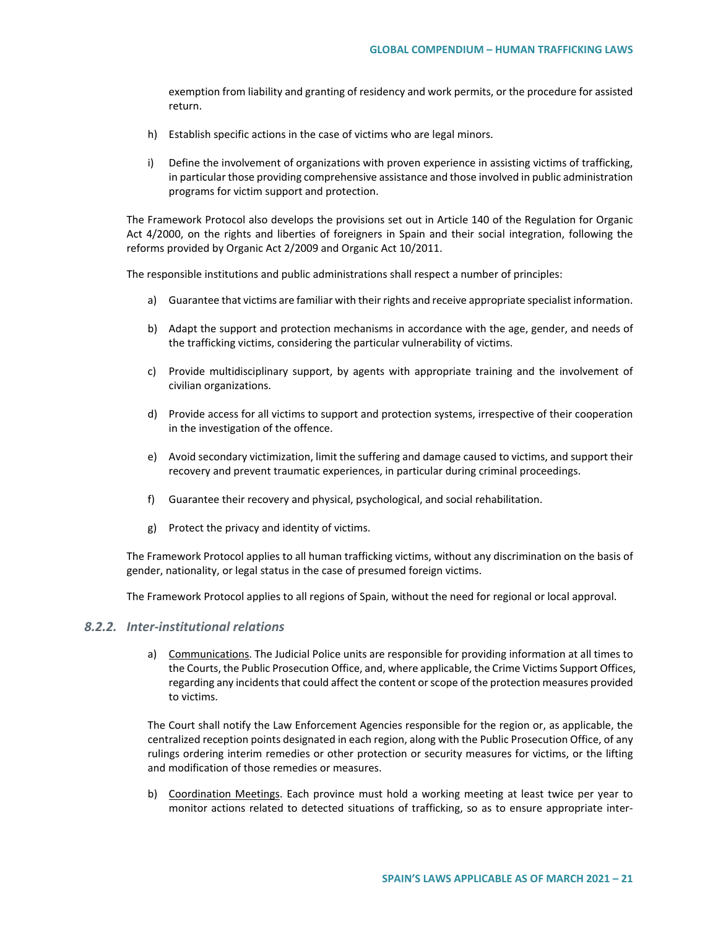exemption from liability and granting of residency and work permits, or the procedure for assisted return.

- h) Establish specific actions in the case of victims who are legal minors.
- i) Define the involvement of organizations with proven experience in assisting victims of trafficking, in particular those providing comprehensive assistance and those involved in public administration programs for victim support and protection.

The Framework Protocol also develops the provisions set out in Article 140 of the Regulation for Organic Act 4/2000, on the rights and liberties of foreigners in Spain and their social integration, following the reforms provided by Organic Act 2/2009 and Organic Act 10/2011.

The responsible institutions and public administrations shall respect a number of principles:

- a) Guarantee that victims are familiar with their rights and receive appropriate specialist information.
- b) Adapt the support and protection mechanisms in accordance with the age, gender, and needs of the trafficking victims, considering the particular vulnerability of victims.
- c) Provide multidisciplinary support, by agents with appropriate training and the involvement of civilian organizations.
- d) Provide access for all victims to support and protection systems, irrespective of their cooperation in the investigation of the offence.
- e) Avoid secondary victimization, limit the suffering and damage caused to victims, and support their recovery and prevent traumatic experiences, in particular during criminal proceedings.
- f) Guarantee their recovery and physical, psychological, and social rehabilitation.
- g) Protect the privacy and identity of victims.

The Framework Protocol applies to all human trafficking victims, without any discrimination on the basis of gender, nationality, or legal status in the case of presumed foreign victims.

The Framework Protocol applies to all regions of Spain, without the need for regional or local approval.

### *8.2.2. Inter-institutional relations*

a) Communications. The Judicial Police units are responsible for providing information at all times to the Courts, the Public Prosecution Office, and, where applicable, the Crime Victims Support Offices, regarding any incidents that could affect the content or scope of the protection measures provided to victims.

The Court shall notify the Law Enforcement Agencies responsible for the region or, as applicable, the centralized reception points designated in each region, along with the Public Prosecution Office, of any rulings ordering interim remedies or other protection or security measures for victims, or the lifting and modification of those remedies or measures.

b) Coordination Meetings. Each province must hold a working meeting at least twice per year to monitor actions related to detected situations of trafficking, so as to ensure appropriate inter